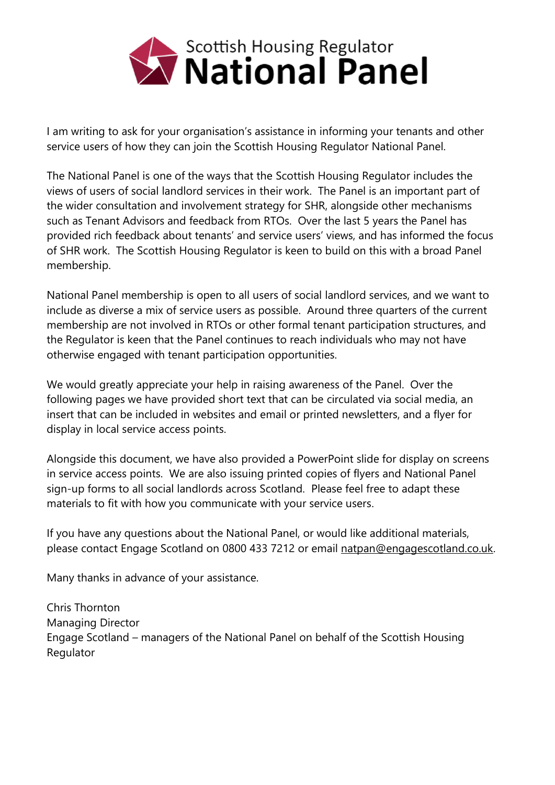

I am writing to ask for your organisation's assistance in informing your tenants and other service users of how they can join the Scottish Housing Regulator National Panel.

The National Panel is one of the ways that the Scottish Housing Regulator includes the views of users of social landlord services in their work. The Panel is an important part of the wider consultation and involvement strategy for SHR, alongside other mechanisms such as Tenant Advisors and feedback from RTOs. Over the last 5 years the Panel has provided rich feedback about tenants' and service users' views, and has informed the focus of SHR work. The Scottish Housing Regulator is keen to build on this with a broad Panel membership.

National Panel membership is open to all users of social landlord services, and we want to include as diverse a mix of service users as possible. Around three quarters of the current membership are not involved in RTOs or other formal tenant participation structures, and the Regulator is keen that the Panel continues to reach individuals who may not have otherwise engaged with tenant participation opportunities.

We would greatly appreciate your help in raising awareness of the Panel. Over the following pages we have provided short text that can be circulated via social media, an insert that can be included in websites and email or printed newsletters, and a flyer for display in local service access points.

Alongside this document, we have also provided a PowerPoint slide for display on screens in service access points. We are also issuing printed copies of flyers and National Panel sign-up forms to all social landlords across Scotland. Please feel free to adapt these materials to fit with how you communicate with your service users.

If you have any questions about the National Panel, or would like additional materials, please contact Engage Scotland on 0800 433 7212 or email [natpan@engagescotland.co.uk.](mailto:natpan@engagescotland.co.uk)

Many thanks in advance of your assistance.

Chris Thornton Managing Director Engage Scotland – managers of the National Panel on behalf of the Scottish Housing Regulator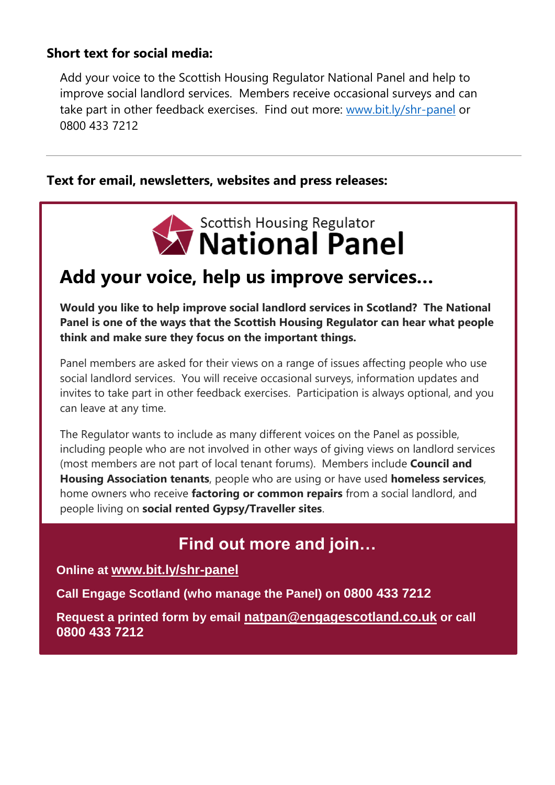#### **Short text for social media:**

Add your voice to the Scottish Housing Regulator National Panel and help to improve social landlord services. Members receive occasional surveys and can take part in other feedback exercises. Find out more: [www.bit.ly/shr-panel](http://www.bit.ly/shr-panel) or 0800 433 7212

#### **Text for email, newsletters, websites and press releases:**



### **Add your voice, help us improve services…**

**Would you like to help improve social landlord services in Scotland? The National Panel is one of the ways that the Scottish Housing Regulator can hear what people think and make sure they focus on the important things.**

Panel members are asked for their views on a range of issues affecting people who use social landlord services. You will receive occasional surveys, information updates and invites to take part in other feedback exercises. Participation is always optional, and you can leave at any time.

The Regulator wants to include as many different voices on the Panel as possible, including people who are not involved in other ways of giving views on landlord services (most members are not part of local tenant forums). Members include **Council and Housing Association tenants**, people who are using or have used **homeless services**, home owners who receive **factoring or common repairs** from a social landlord, and people living on **social rented Gypsy/Traveller sites**.

#### **Find out more and join…**

#### **Online at www.bit.ly/shr-panel**

**Call Engage Scotland (who manage the Panel) on 0800 433 7212**

**Request a printed form by email natpan@engagescotland.co.uk or call 0800 433 7212**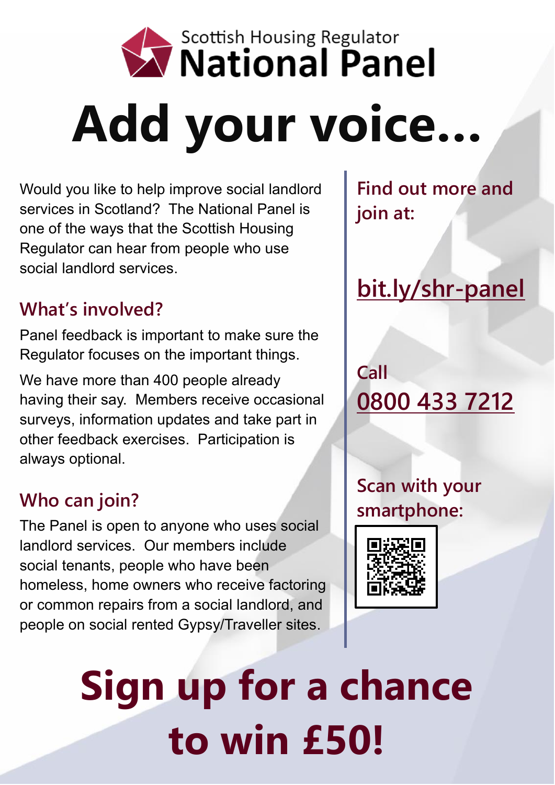

Would you like to help improve social landlord services in Scotland? The National Panel is one of the ways that the Scottish Housing Regulator can hear from people who use social landlord services.

### **What's involved?**

Panel feedback is important to make sure the Regulator focuses on the important things.

We have more than 400 people already having their say. Members receive occasional surveys, information updates and take part in other feedback exercises. Participation is always optional.

### **Who can join?**

The Panel is open to anyone who uses social landlord services. Our members include social tenants, people who have been homeless, home owners who receive factoring or common repairs from a social landlord, and people on social rented Gypsy/Traveller sites.

**Find out more and join at:**

# **bit.ly/shr-panel**

## **Call 0800 433 7212**

**Scan with your smartphone:**



**Sign up for a chance to win £50!**